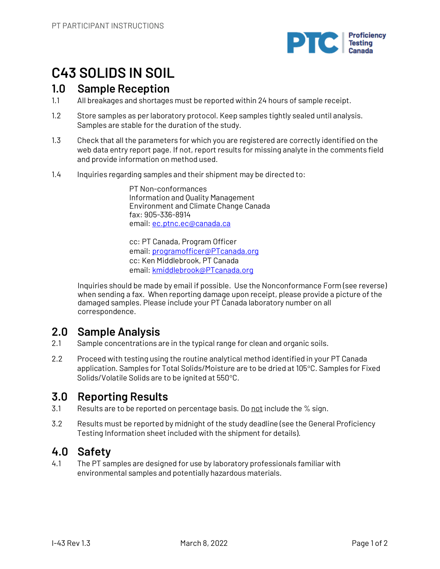

# **C43 SOLIDS IN SOIL**

## **1.0 Sample Reception**

- 1.1 All breakages and shortages must be reported within 24 hours of sample receipt.
- 1.2 Store samples as per laboratory protocol. Keep samples tightly sealed until analysis. Samples are stable for the duration of the study.
- 1.3 Check that all the parameters for which you are registered are correctly identified on the web data entry report page. If not, report results for missing analyte in the comments field and provide information on method used.
- 1.4 Inquiries regarding samples and their shipment may be directed to:

PT Non-conformances Information and Quality Management Environment and Climate Change Canada fax: 905-336-8914 email: ec.ptnc.ec@canada.ca

cc: PT Canada, Program Officer email: programofficer@PTcanada.org cc: Ken Middlebrook, PT Canada email: kmiddlebrook@PTcanada.org

Inquiries should be made by email if possible. Use the Nonconformance Form (see reverse) when sending a fax. When reporting damage upon receipt, please provide a picture of the damaged samples. Please include your PT Canada laboratory number on all correspondence.

# **2.0 Sample Analysis**

- 2.1 Sample concentrations are in the typical range for clean and organic soils.
- 2.2 Proceed with testing using the routine analytical method identified in your PT Canada application. Samples for Total Solids/Moisture are to be dried at 105°C. Samples for Fixed Solids/Volatile Solids are to be ignited at 550°C.

# **3.0 Reporting Results**

- 3.1 Results are to be reported on percentage basis. Do not include the % sign.
- 3.2 Results must be reported by midnight of the study deadline (see the General Proficiency Testing Information sheet included with the shipment for details).

# **4.0 Safety**

4.1 The PT samples are designed for use by laboratory professionals familiar with environmental samples and potentially hazardous materials.